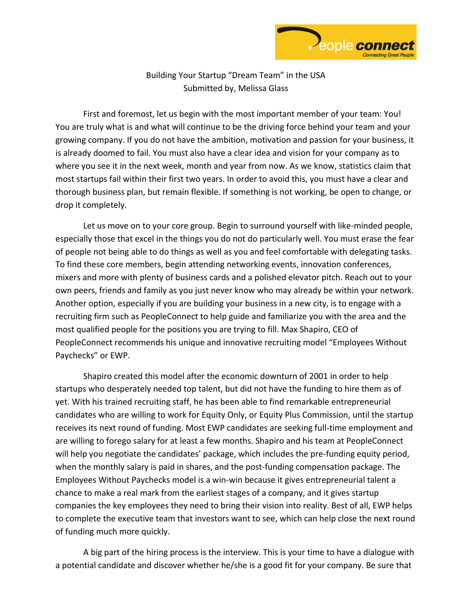

Building Your Startup "Dream Team" in the USA Submitted by, Melissa Glass

First and foremost, let us begin with the most important member of your team: You! You are truly what is and what will continue to be the driving force behind your team and your growing company. If you do not have the ambition, motivation and passion for your business, it is already doomed to fail. You must also have a clear idea and vision for your company as to where you see it in the next week, month and year from now. As we know, statistics claim that most startups fail within their first two years. In order to avoid this, you must have a clear and thorough business plan, but remain flexible. If something is not working, be open to change, or drop it completely.

Let us move on to your core group. Begin to surround yourself with like-minded people, especially those that excel in the things you do not do particularly well. You must erase the fear of people not being able to do things as well as you and feel comfortable with delegating tasks. To find these core members, begin attending networking events, innovation conferences, mixers and more with plenty of business cards and a polished elevator pitch. Reach out to your own peers, friends and family as you just never know who may already be within your network. Another option, especially if you are building your business in a new city, is to engage with a recruiting firm such as PeopleConnect to help guide and familiarize you with the area and the most qualified people for the positions you are trying to fill. Max Shapiro, CEO of PeopleConnect recommends his unique and innovative recruiting model "Employees Without Paychecks" or EWP.

Shapiro created this model after the economic downturn of 2001 in order to help startups who desperately needed top talent, but did not have the funding to hire them as of yet. With his trained recruiting staff, he has been able to find remarkable entrepreneurial candidates who are willing to work for Equity Only, or Equity Plus Commission, until the startup receives its next round of funding. Most EWP candidates are seeking full-time employment and are willing to forego salary for at least a few months. Shapiro and his team at PeopleConnect will help you negotiate the candidates' package, which includes the pre-funding equity period, when the monthly salary is paid in shares, and the post-funding compensation package. The Employees Without Paychecks model is a win-win because it gives entrepreneurial talent a chance to make a real mark from the earliest stages of a company, and it gives startup companies the key employees they need to bring their vision into reality. Best of all, EWP helps to complete the executive team that investors want to see, which can help close the next round of funding much more quickly.

A big part of the hiring process is the interview. This is your time to have a dialogue with a potential candidate and discover whether he/she is a good fit for your company. Be sure that